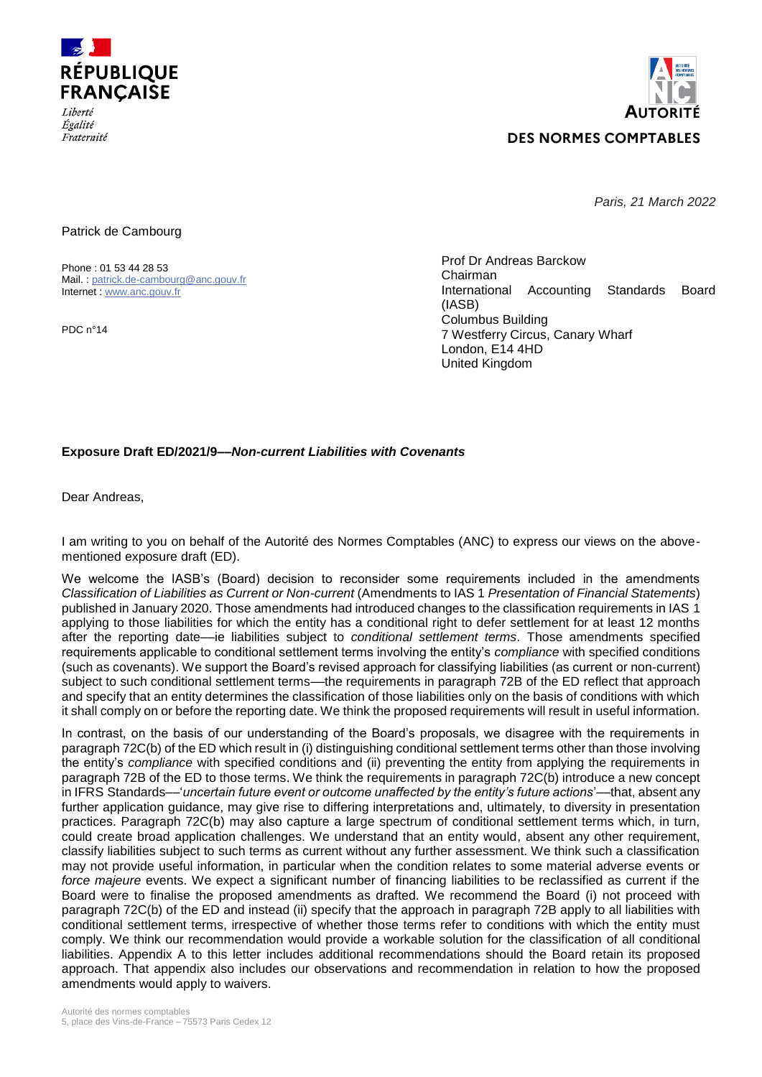

*Égalité* Fraternité



*Paris, 21 March 2022*

Patrick de Cambourg

Phone : 01 53 44 28 53 Mail. : [patrick.de-cambourg@anc.gouv.fr](mailto:patrick.de-cambourg@anc.gouv.fr) Internet : [www.anc.gouv.fr](http://www.anc.gouv.fr/)

PDC n°14

Prof Dr Andreas Barckow Chairman International Accounting Standards Board (IASB) Columbus Building 7 Westferry Circus, Canary Wharf London, E14 4HD United Kingdom

# **Exposure Draft ED/2021/9––***Non-current Liabilities with Covenants*

Dear Andreas,

I am writing to you on behalf of the Autorité des Normes Comptables (ANC) to express our views on the abovementioned exposure draft (ED).

We welcome the IASB's (Board) decision to reconsider some requirements included in the amendments *Classification of Liabilities as Current or Non-current* (Amendments to IAS 1 *Presentation of Financial Statements*) published in January 2020. Those amendments had introduced changes to the classification requirements in IAS 1 applying to those liabilities for which the entity has a conditional right to defer settlement for at least 12 months after the reporting date––ie liabilities subject to *conditional settlement terms*. Those amendments specified requirements applicable to conditional settlement terms involving the entity's *compliance* with specified conditions (such as covenants). We support the Board's revised approach for classifying liabilities (as current or non-current) subject to such conditional settlement terms—the requirements in paragraph 72B of the ED reflect that approach and specify that an entity determines the classification of those liabilities only on the basis of conditions with which it shall comply on or before the reporting date. We think the proposed requirements will result in useful information.

In contrast, on the basis of our understanding of the Board's proposals, we disagree with the requirements in paragraph 72C(b) of the ED which result in (i) distinguishing conditional settlement terms other than those involving the entity's *compliance* with specified conditions and (ii) preventing the entity from applying the requirements in paragraph 72B of the ED to those terms. We think the requirements in paragraph 72C(b) introduce a new concept in IFRS Standards––'*uncertain future event or outcome unaffected by the entity's future actions*'––that, absent any further application quidance, may give rise to differing interpretations and, ultimately, to diversity in presentation practices. Paragraph 72C(b) may also capture a large spectrum of conditional settlement terms which, in turn, could create broad application challenges. We understand that an entity would, absent any other requirement, classify liabilities subject to such terms as current without any further assessment. We think such a classification may not provide useful information, in particular when the condition relates to some material adverse events or *force majeure* events. We expect a significant number of financing liabilities to be reclassified as current if the Board were to finalise the proposed amendments as drafted. We recommend the Board (i) not proceed with paragraph 72C(b) of the ED and instead (ii) specify that the approach in paragraph 72B apply to all liabilities with conditional settlement terms, irrespective of whether those terms refer to conditions with which the entity must comply. We think our recommendation would provide a workable solution for the classification of all conditional liabilities. Appendix A to this letter includes additional recommendations should the Board retain its proposed approach. That appendix also includes our observations and recommendation in relation to how the proposed amendments would apply to waivers.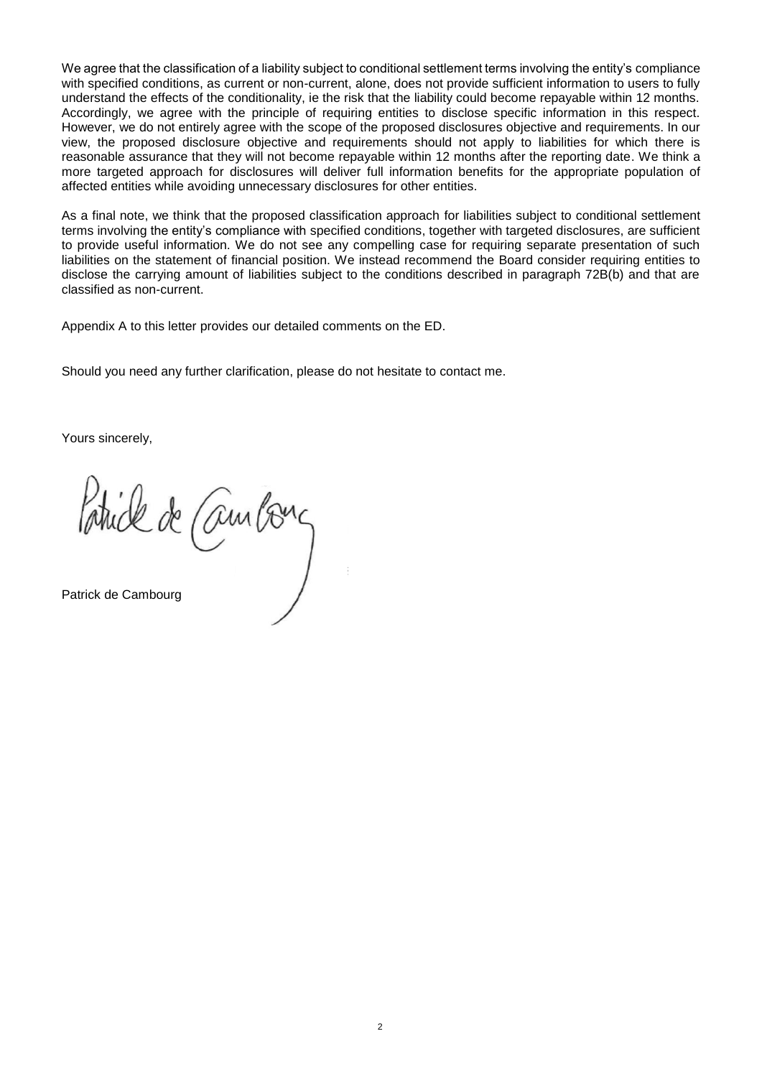We agree that the classification of a liability subject to conditional settlement terms involving the entity's compliance with specified conditions, as current or non-current, alone, does not provide sufficient information to users to fully understand the effects of the conditionality, ie the risk that the liability could become repayable within 12 months. Accordingly, we agree with the principle of requiring entities to disclose specific information in this respect. However, we do not entirely agree with the scope of the proposed disclosures objective and requirements. In our view, the proposed disclosure objective and requirements should not apply to liabilities for which there is reasonable assurance that they will not become repayable within 12 months after the reporting date. We think a more targeted approach for disclosures will deliver full information benefits for the appropriate population of affected entities while avoiding unnecessary disclosures for other entities.

As a final note, we think that the proposed classification approach for liabilities subject to conditional settlement terms involving the entity's compliance with specified conditions, together with targeted disclosures, are sufficient to provide useful information. We do not see any compelling case for requiring separate presentation of such liabilities on the statement of financial position. We instead recommend the Board consider requiring entities to disclose the carrying amount of liabilities subject to the conditions described in paragraph 72B(b) and that are classified as non-current.

Appendix A to this letter provides our detailed comments on the ED.

Should you need any further clarification, please do not hesitate to contact me.

Yours sincerely,

Patrick de Cambons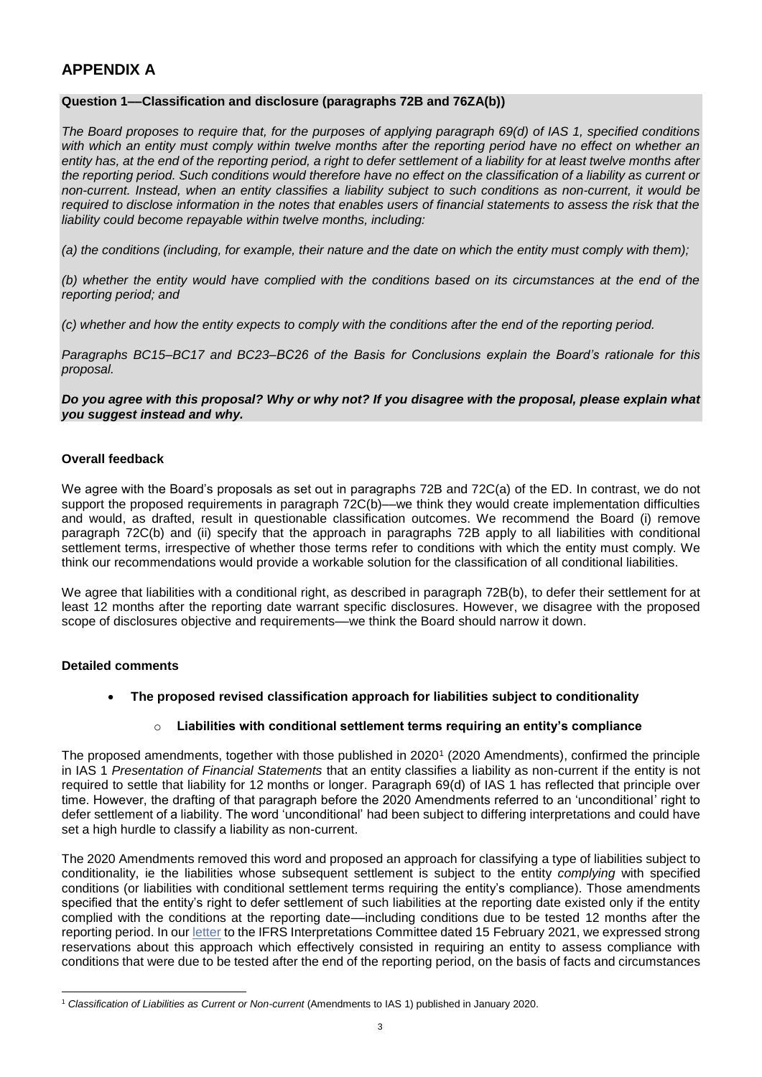# **APPENDIX A**

### **Question 1––Classification and disclosure (paragraphs 72B and 76ZA(b))**

*The Board proposes to require that, for the purposes of applying paragraph 69(d) of IAS 1, specified conditions*  with which an entity must comply within twelve months after the reporting period have no effect on whether an *entity has, at the end of the reporting period, a right to defer settlement of a liability for at least twelve months after the reporting period. Such conditions would therefore have no effect on the classification of a liability as current or non-current. Instead, when an entity classifies a liability subject to such conditions as non-current, it would be required to disclose information in the notes that enables users of financial statements to assess the risk that the liability could become repayable within twelve months, including:*

*(a) the conditions (including, for example, their nature and the date on which the entity must comply with them);*

*(b) whether the entity would have complied with the conditions based on its circumstances at the end of the reporting period; and*

*(c) whether and how the entity expects to comply with the conditions after the end of the reporting period.*

*Paragraphs BC15–BC17 and BC23–BC26 of the Basis for Conclusions explain the Board's rationale for this proposal.*

### *Do you agree with this proposal? Why or why not? If you disagree with the proposal, please explain what you suggest instead and why.*

### **Overall feedback**

We agree with the Board's proposals as set out in paragraphs 72B and 72C(a) of the ED. In contrast, we do not support the proposed requirements in paragraph 72C(b)—we think they would create implementation difficulties and would, as drafted, result in questionable classification outcomes. We recommend the Board (i) remove paragraph 72C(b) and (ii) specify that the approach in paragraphs 72B apply to all liabilities with conditional settlement terms, irrespective of whether those terms refer to conditions with which the entity must comply. We think our recommendations would provide a workable solution for the classification of all conditional liabilities.

We agree that liabilities with a conditional right, as described in paragraph 72B(b), to defer their settlement for at least 12 months after the reporting date warrant specific disclosures. However, we disagree with the proposed scope of disclosures objective and requirements--- we think the Board should narrow it down.

# **Detailed comments**

**The proposed revised classification approach for liabilities subject to conditionality**

# o **Liabilities with conditional settlement terms requiring an entity's compliance**

The proposed amendments, together with those published in 2020<sup>1</sup> (2020 Amendments), confirmed the principle in IAS 1 *Presentation of Financial Statements* that an entity classifies a liability as non-current if the entity is not required to settle that liability for 12 months or longer. Paragraph 69(d) of IAS 1 has reflected that principle over time. However, the drafting of that paragraph before the 2020 Amendments referred to an 'unconditional' right to defer settlement of a liability. The word 'unconditional' had been subject to differing interpretations and could have set a high hurdle to classify a liability as non-current.

The 2020 Amendments removed this word and proposed an approach for classifying a type of liabilities subject to conditionality, ie the liabilities whose subsequent settlement is subject to the entity *complying* with specified conditions (or liabilities with conditional settlement terms requiring the entity's compliance). Those amendments specified that the entity's right to defer settlement of such liabilities at the reporting date existed only if the entity complied with the conditions at the reporting date—including conditions due to be tested 12 months after the reporting period. In ou[r letter](http://eifrs.ifrs.org/eifrs/comment_letters/576/576_28084_VincentLouisAutoritdesnormescomptablesANC_0_2021IFRSICTADDecember2020vDEFsigned.pdf) to the IFRS Interpretations Committee dated 15 February 2021, we expressed strong reservations about this approach which effectively consisted in requiring an entity to assess compliance with conditions that were due to be tested after the end of the reporting period, on the basis of facts and circumstances

<sup>1</sup> *Classification of Liabilities as Current or Non-current* (Amendments to IAS 1) published in January 2020.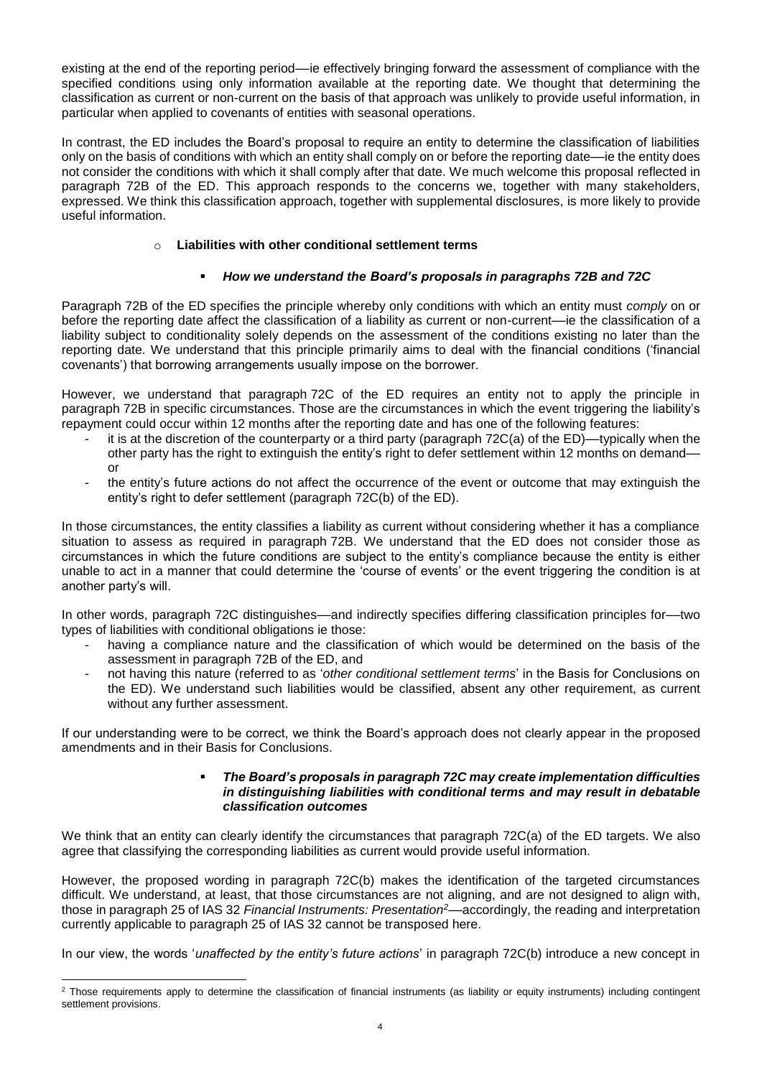existing at the end of the reporting period––ie effectively bringing forward the assessment of compliance with the specified conditions using only information available at the reporting date. We thought that determining the classification as current or non-current on the basis of that approach was unlikely to provide useful information, in particular when applied to covenants of entities with seasonal operations.

In contrast, the ED includes the Board's proposal to require an entity to determine the classification of liabilities only on the basis of conditions with which an entity shall comply on or before the reporting date––ie the entity does not consider the conditions with which it shall comply after that date. We much welcome this proposal reflected in paragraph 72B of the ED. This approach responds to the concerns we, together with many stakeholders, expressed. We think this classification approach, together with supplemental disclosures, is more likely to provide useful information.

# o **Liabilities with other conditional settlement terms**

# *How we understand the Board's proposals in paragraphs 72B and 72C*

Paragraph 72B of the ED specifies the principle whereby only conditions with which an entity must *comply* on or before the reporting date affect the classification of a liability as current or non-current––ie the classification of a liability subject to conditionality solely depends on the assessment of the conditions existing no later than the reporting date. We understand that this principle primarily aims to deal with the financial conditions ('financial covenants') that borrowing arrangements usually impose on the borrower.

However, we understand that paragraph 72C of the ED requires an entity not to apply the principle in paragraph 72B in specific circumstances. Those are the circumstances in which the event triggering the liability's repayment could occur within 12 months after the reporting date and has one of the following features:

- it is at the discretion of the counterparty or a third party (paragraph 72C(a) of the ED)—typically when the other party has the right to extinguish the entity's right to defer settlement within 12 months on demand–– or
- the entity's future actions do not affect the occurrence of the event or outcome that may extinguish the entity's right to defer settlement (paragraph 72C(b) of the ED).

In those circumstances, the entity classifies a liability as current without considering whether it has a compliance situation to assess as required in paragraph 72B. We understand that the ED does not consider those as circumstances in which the future conditions are subject to the entity's compliance because the entity is either unable to act in a manner that could determine the 'course of events' or the event triggering the condition is at another party's will.

In other words, paragraph 72C distinguishes––and indirectly specifies differing classification principles for––two types of liabilities with conditional obligations ie those:

- having a compliance nature and the classification of which would be determined on the basis of the assessment in paragraph 72B of the ED, and
- not having this nature (referred to as '*other conditional settlement terms*' in the Basis for Conclusions on the ED). We understand such liabilities would be classified, absent any other requirement, as current without any further assessment.

If our understanding were to be correct, we think the Board's approach does not clearly appear in the proposed amendments and in their Basis for Conclusions.

#### *The Board's proposals in paragraph 72C may create implementation difficulties in distinguishing liabilities with conditional terms and may result in debatable classification outcomes*

We think that an entity can clearly identify the circumstances that paragraph 72C(a) of the ED targets. We also agree that classifying the corresponding liabilities as current would provide useful information.

However, the proposed wording in paragraph 72C(b) makes the identification of the targeted circumstances difficult. We understand, at least, that those circumstances are not aligning, and are not designed to align with, those in paragraph 25 of IAS 32 *Financial Instruments: Presentation<sup>2</sup>*––accordingly, the reading and interpretation currently applicable to paragraph 25 of IAS 32 cannot be transposed here.

In our view, the words '*unaffected by the entity's future actions*' in paragraph 72C(b) introduce a new concept in

 $\overline{a}$ 

<sup>&</sup>lt;sup>2</sup> Those requirements apply to determine the classification of financial instruments (as liability or equity instruments) including contingent settlement provisions.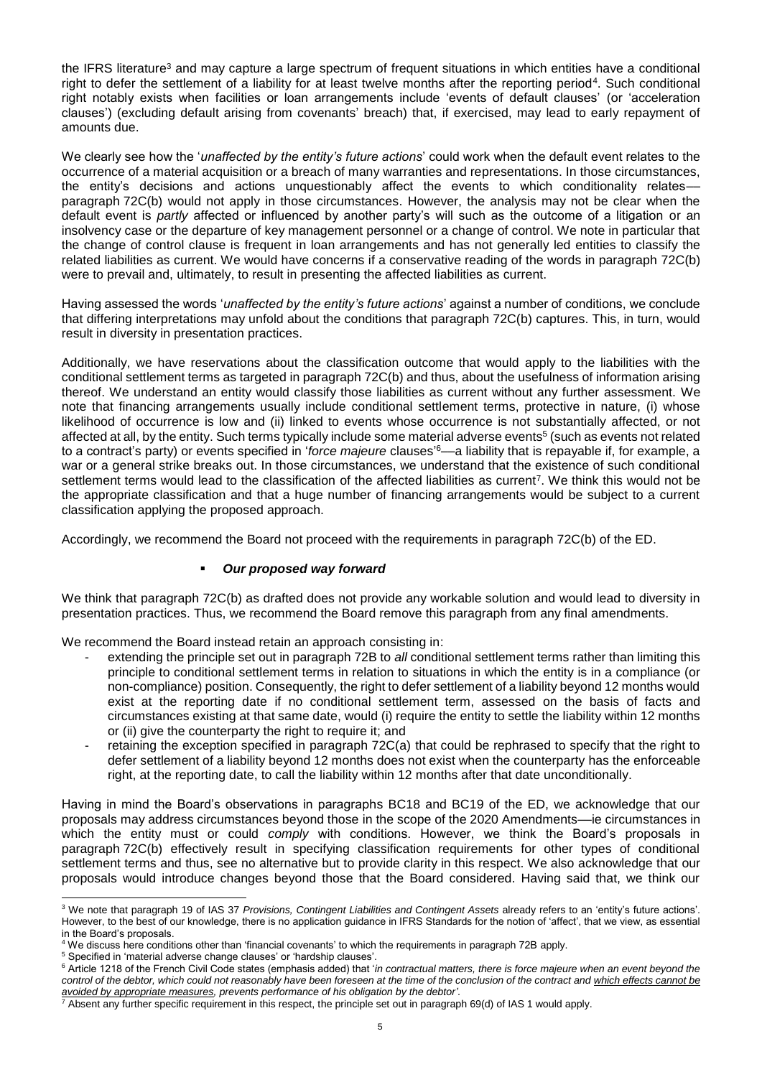the IFRS literature<sup>3</sup> and may capture a large spectrum of frequent situations in which entities have a conditional right to defer the settlement of a liability for at least twelve months after the reporting period<sup>4</sup>. Such conditional right notably exists when facilities or loan arrangements include 'events of default clauses' (or 'acceleration clauses') (excluding default arising from covenants' breach) that, if exercised, may lead to early repayment of amounts due.

We clearly see how the '*unaffected by the entity's future actions*' could work when the default event relates to the occurrence of a material acquisition or a breach of many warranties and representations. In those circumstances, the entity's decisions and actions unquestionably affect the events to which conditionality relates–– paragraph 72C(b) would not apply in those circumstances. However, the analysis may not be clear when the default event is *partly* affected or influenced by another party's will such as the outcome of a litigation or an insolvency case or the departure of key management personnel or a change of control. We note in particular that the change of control clause is frequent in loan arrangements and has not generally led entities to classify the related liabilities as current. We would have concerns if a conservative reading of the words in paragraph 72C(b) were to prevail and, ultimately, to result in presenting the affected liabilities as current.

Having assessed the words '*unaffected by the entity's future actions*' against a number of conditions, we conclude that differing interpretations may unfold about the conditions that paragraph 72C(b) captures. This, in turn, would result in diversity in presentation practices.

Additionally, we have reservations about the classification outcome that would apply to the liabilities with the conditional settlement terms as targeted in paragraph 72C(b) and thus, about the usefulness of information arising thereof. We understand an entity would classify those liabilities as current without any further assessment. We note that financing arrangements usually include conditional settlement terms, protective in nature, (i) whose likelihood of occurrence is low and (ii) linked to events whose occurrence is not substantially affected, or not affected at all, by the entity. Such terms typically include some material adverse events<sup>5</sup> (such as events not related to a contract's party) or events specified in '*force majeure* clauses' <sup>6</sup>––a liability that is repayable if, for example, a war or a general strike breaks out. In those circumstances, we understand that the existence of such conditional settlement terms would lead to the classification of the affected liabilities as current<sup>7</sup>. We think this would not be the appropriate classification and that a huge number of financing arrangements would be subject to a current classification applying the proposed approach.

Accordingly, we recommend the Board not proceed with the requirements in paragraph 72C(b) of the ED.

# *Our proposed way forward*

We think that paragraph 72C(b) as drafted does not provide any workable solution and would lead to diversity in presentation practices. Thus, we recommend the Board remove this paragraph from any final amendments.

We recommend the Board instead retain an approach consisting in:

- extending the principle set out in paragraph 72B to *all* conditional settlement terms rather than limiting this principle to conditional settlement terms in relation to situations in which the entity is in a compliance (or non-compliance) position. Consequently, the right to defer settlement of a liability beyond 12 months would exist at the reporting date if no conditional settlement term, assessed on the basis of facts and circumstances existing at that same date, would (i) require the entity to settle the liability within 12 months or (ii) give the counterparty the right to require it; and
- retaining the exception specified in paragraph 72C(a) that could be rephrased to specify that the right to defer settlement of a liability beyond 12 months does not exist when the counterparty has the enforceable right, at the reporting date, to call the liability within 12 months after that date unconditionally.

Having in mind the Board's observations in paragraphs BC18 and BC19 of the ED, we acknowledge that our proposals may address circumstances beyond those in the scope of the 2020 Amendments––ie circumstances in which the entity must or could *comply* with conditions. However, we think the Board's proposals in paragraph 72C(b) effectively result in specifying classification requirements for other types of conditional settlement terms and thus, see no alternative but to provide clarity in this respect. We also acknowledge that our proposals would introduce changes beyond those that the Board considered. Having said that, we think our

 <sup>3</sup> We note that paragraph 19 of IAS 37 *Provisions, Contingent Liabilities and Contingent Assets* already refers to an 'entity's future actions'. However, to the best of our knowledge, there is no application guidance in IFRS Standards for the notion of 'affect', that we view, as essential in the Board's proposals.

<sup>4</sup> We discuss here conditions other than 'financial covenants' to which the requirements in paragraph 72B apply.

<sup>5</sup> Specified in 'material adverse change clauses' or 'hardship clauses'.

<sup>&</sup>lt;sup>6</sup> Article 1218 of the French Civil Code states (emphasis added) that '*in contractual matters, there is force majeure when an event beyond the control of the debtor, which could not reasonably have been foreseen at the time of the conclusion of the contract and which effects cannot be avoided by appropriate measures, prevents performance of his obligation by the debtor'*.

 $^7$  Absent any further specific requirement in this respect, the principle set out in paragraph 69(d) of IAS 1 would apply.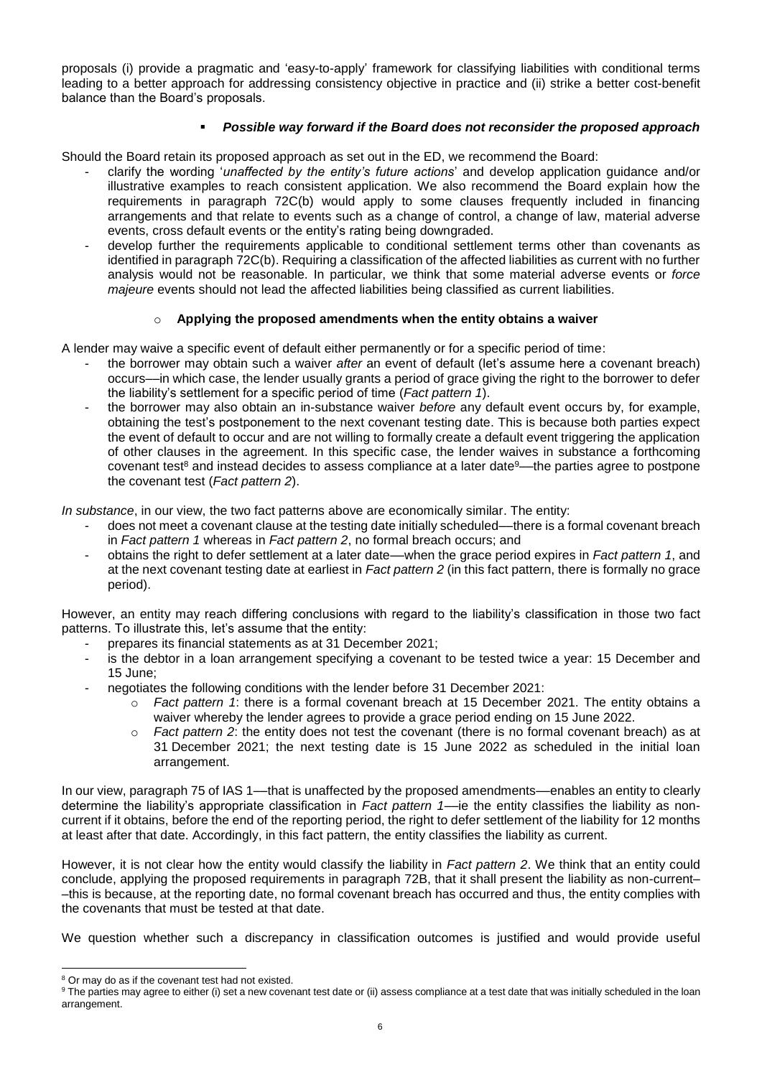proposals (i) provide a pragmatic and 'easy-to-apply' framework for classifying liabilities with conditional terms leading to a better approach for addressing consistency objective in practice and (ii) strike a better cost-benefit balance than the Board's proposals.

# *Possible way forward if the Board does not reconsider the proposed approach*

Should the Board retain its proposed approach as set out in the ED, we recommend the Board:

- clarify the wording '*unaffected by the entity's future actions*' and develop application guidance and/or illustrative examples to reach consistent application. We also recommend the Board explain how the requirements in paragraph 72C(b) would apply to some clauses frequently included in financing arrangements and that relate to events such as a change of control, a change of law, material adverse events, cross default events or the entity's rating being downgraded.
- develop further the requirements applicable to conditional settlement terms other than covenants as identified in paragraph 72C(b). Requiring a classification of the affected liabilities as current with no further analysis would not be reasonable. In particular, we think that some material adverse events or *force majeure* events should not lead the affected liabilities being classified as current liabilities.

# o **Applying the proposed amendments when the entity obtains a waiver**

A lender may waive a specific event of default either permanently or for a specific period of time:

- the borrower may obtain such a waiver *after* an event of default (let's assume here a covenant breach) occurs––in which case, the lender usually grants a period of grace giving the right to the borrower to defer the liability's settlement for a specific period of time (*Fact pattern 1*).
- the borrower may also obtain an in-substance waiver *before* any default event occurs by, for example, obtaining the test's postponement to the next covenant testing date. This is because both parties expect the event of default to occur and are not willing to formally create a default event triggering the application of other clauses in the agreement. In this specific case, the lender waives in substance a forthcoming covenant test<sup>8</sup> and instead decides to assess compliance at a later date<sup>9</sup>—the parties agree to postpone the covenant test (*Fact pattern 2*).

*In substance*, in our view, the two fact patterns above are economically similar. The entity:

- does not meet a covenant clause at the testing date initially scheduled—there is a formal covenant breach in *Fact pattern 1* whereas in *Fact pattern 2*, no formal breach occurs; and
- obtains the right to defer settlement at a later date––when the grace period expires in *Fact pattern 1*, and at the next covenant testing date at earliest in *Fact pattern 2* (in this fact pattern, there is formally no grace period).

However, an entity may reach differing conclusions with regard to the liability's classification in those two fact patterns. To illustrate this, let's assume that the entity:

- prepares its financial statements as at 31 December 2021;
- is the debtor in a loan arrangement specifying a covenant to be tested twice a year: 15 December and 15 June;
- negotiates the following conditions with the lender before 31 December 2021:
	- Fact pattern 1: there is a formal covenant breach at 15 December 2021. The entity obtains a waiver whereby the lender agrees to provide a grace period ending on 15 June 2022.
	- o *Fact pattern 2*: the entity does not test the covenant (there is no formal covenant breach) as at 31 December 2021; the next testing date is 15 June 2022 as scheduled in the initial loan arrangement.

In our view, paragraph 75 of IAS 1—that is unaffected by the proposed amendments—enables an entity to clearly determine the liability's appropriate classification in *Fact pattern 1*––ie the entity classifies the liability as noncurrent if it obtains, before the end of the reporting period, the right to defer settlement of the liability for 12 months at least after that date. Accordingly, in this fact pattern, the entity classifies the liability as current.

However, it is not clear how the entity would classify the liability in *Fact pattern 2*. We think that an entity could conclude, applying the proposed requirements in paragraph 72B, that it shall present the liability as non-current– –this is because, at the reporting date, no formal covenant breach has occurred and thus, the entity complies with the covenants that must be tested at that date.

We question whether such a discrepancy in classification outcomes is justified and would provide useful

<sup>&</sup>lt;sup>8</sup> Or may do as if the covenant test had not existed.

<sup>&</sup>lt;sup>9</sup> The parties may agree to either (i) set a new covenant test date or (ii) assess compliance at a test date that was initially scheduled in the loan arrangement.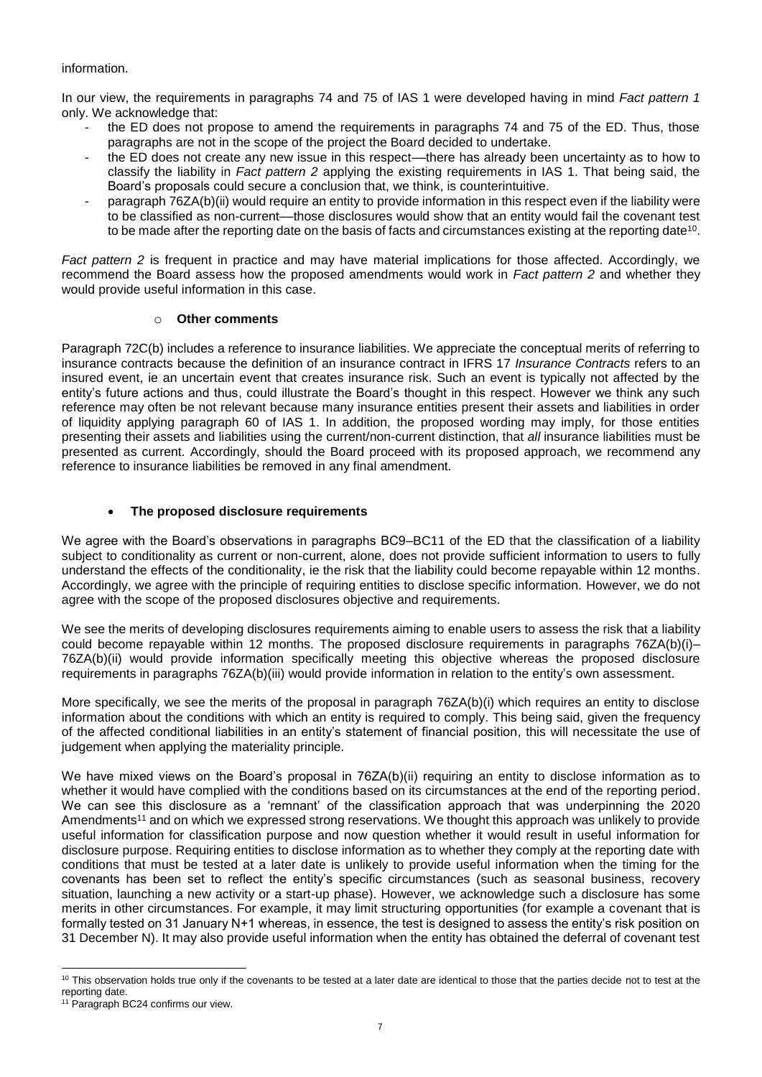### information.

In our view, the requirements in paragraphs 74 and 75 of IAS 1 were developed having in mind *Fact pattern 1* only. We acknowledge that:

- the ED does not propose to amend the requirements in paragraphs 74 and 75 of the ED. Thus, those paragraphs are not in the scope of the project the Board decided to undertake.
- the ED does not create any new issue in this respect––there has already been uncertainty as to how to classify the liability in *Fact pattern 2* applying the existing requirements in IAS 1. That being said, the Board's proposals could secure a conclusion that, we think, is counterintuitive.
- paragraph 76ZA(b)(ii) would require an entity to provide information in this respect even if the liability were to be classified as non-current––those disclosures would show that an entity would fail the covenant test to be made after the reporting date on the basis of facts and circumstances existing at the reporting date $^{\rm 10}$ .

*Fact pattern 2* is frequent in practice and may have material implications for those affected. Accordingly, we recommend the Board assess how the proposed amendments would work in *Fact pattern 2* and whether they would provide useful information in this case.

### o **Other comments**

Paragraph 72C(b) includes a reference to insurance liabilities. We appreciate the conceptual merits of referring to insurance contracts because the definition of an insurance contract in IFRS 17 *Insurance Contracts* refers to an insured event, ie an uncertain event that creates insurance risk. Such an event is typically not affected by the entity's future actions and thus, could illustrate the Board's thought in this respect. However we think any such reference may often be not relevant because many insurance entities present their assets and liabilities in order of liquidity applying paragraph 60 of IAS 1. In addition, the proposed wording may imply, for those entities presenting their assets and liabilities using the current/non-current distinction, that *all* insurance liabilities must be presented as current. Accordingly, should the Board proceed with its proposed approach, we recommend any reference to insurance liabilities be removed in any final amendment.

# **The proposed disclosure requirements**

We agree with the Board's observations in paragraphs BC9–BC11 of the ED that the classification of a liability subject to conditionality as current or non-current, alone, does not provide sufficient information to users to fully understand the effects of the conditionality, ie the risk that the liability could become repayable within 12 months. Accordingly, we agree with the principle of requiring entities to disclose specific information. However, we do not agree with the scope of the proposed disclosures objective and requirements.

We see the merits of developing disclosures requirements aiming to enable users to assess the risk that a liability could become repayable within 12 months. The proposed disclosure requirements in paragraphs 76ZA(b)(i)– 76ZA(b)(ii) would provide information specifically meeting this objective whereas the proposed disclosure requirements in paragraphs 76ZA(b)(iii) would provide information in relation to the entity's own assessment.

More specifically, we see the merits of the proposal in paragraph 76ZA(b)(i) which requires an entity to disclose information about the conditions with which an entity is required to comply. This being said, given the frequency of the affected conditional liabilities in an entity's statement of financial position, this will necessitate the use of judgement when applying the materiality principle.

We have mixed views on the Board's proposal in 76ZA(b)(ii) requiring an entity to disclose information as to whether it would have complied with the conditions based on its circumstances at the end of the reporting period. We can see this disclosure as a 'remnant' of the classification approach that was underpinning the 2020 Amendments<sup>11</sup> and on which we expressed strong reservations. We thought this approach was unlikely to provide useful information for classification purpose and now question whether it would result in useful information for disclosure purpose. Requiring entities to disclose information as to whether they comply at the reporting date with conditions that must be tested at a later date is unlikely to provide useful information when the timing for the covenants has been set to reflect the entity's specific circumstances (such as seasonal business, recovery situation, launching a new activity or a start-up phase). However, we acknowledge such a disclosure has some merits in other circumstances. For example, it may limit structuring opportunities (for example a covenant that is formally tested on 31 January N+1 whereas, in essence, the test is designed to assess the entity's risk position on 31 December N). It may also provide useful information when the entity has obtained the deferral of covenant test

  $10$  This observation holds true only if the covenants to be tested at a later date are identical to those that the parties decide not to test at the reporting date.

<sup>&</sup>lt;sup>11</sup> Paragraph BC24 confirms our view.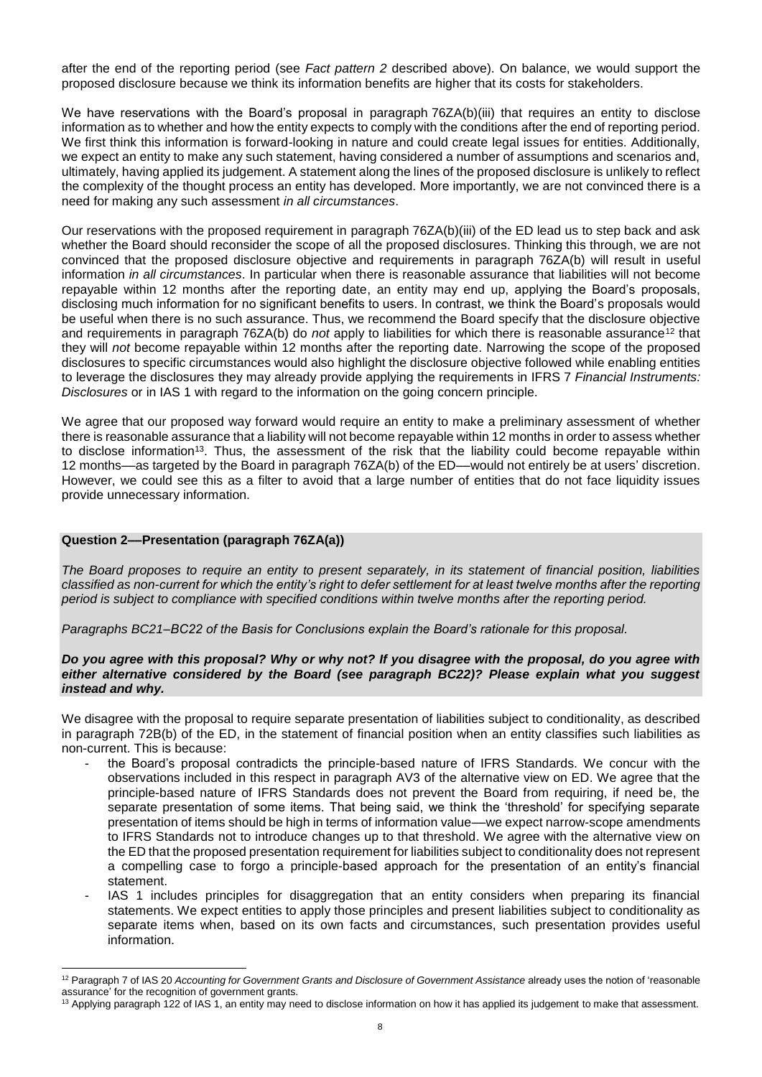after the end of the reporting period (see *Fact pattern 2* described above). On balance, we would support the proposed disclosure because we think its information benefits are higher that its costs for stakeholders.

We have reservations with the Board's proposal in paragraph 76ZA(b)(iii) that requires an entity to disclose information as to whether and how the entity expects to comply with the conditions after the end of reporting period. We first think this information is forward-looking in nature and could create legal issues for entities. Additionally, we expect an entity to make any such statement, having considered a number of assumptions and scenarios and, ultimately, having applied its judgement. A statement along the lines of the proposed disclosure is unlikely to reflect the complexity of the thought process an entity has developed. More importantly, we are not convinced there is a need for making any such assessment *in all circumstances*.

Our reservations with the proposed requirement in paragraph 76ZA(b)(iii) of the ED lead us to step back and ask whether the Board should reconsider the scope of all the proposed disclosures. Thinking this through, we are not convinced that the proposed disclosure objective and requirements in paragraph 76ZA(b) will result in useful information *in all circumstances*. In particular when there is reasonable assurance that liabilities will not become repayable within 12 months after the reporting date, an entity may end up, applying the Board's proposals, disclosing much information for no significant benefits to users. In contrast, we think the Board's proposals would be useful when there is no such assurance. Thus, we recommend the Board specify that the disclosure objective and requirements in paragraph 76ZA(b) do *not* apply to liabilities for which there is reasonable assurance<sup>12</sup> that they will *not* become repayable within 12 months after the reporting date. Narrowing the scope of the proposed disclosures to specific circumstances would also highlight the disclosure objective followed while enabling entities to leverage the disclosures they may already provide applying the requirements in IFRS 7 *Financial Instruments: Disclosures* or in IAS 1 with regard to the information on the going concern principle.

We agree that our proposed way forward would require an entity to make a preliminary assessment of whether there is reasonable assurance that a liability will not become repayable within 12 months in order to assess whether to disclose information<sup>13</sup>. Thus, the assessment of the risk that the liability could become repayable within 12 months––as targeted by the Board in paragraph 76ZA(b) of the ED––would not entirely be at users' discretion. However, we could see this as a filter to avoid that a large number of entities that do not face liquidity issues provide unnecessary information.

#### **Question 2––Presentation (paragraph 76ZA(a))**

*The Board proposes to require an entity to present separately, in its statement of financial position, liabilities classified as non-current for which the entity's right to defer settlement for at least twelve months after the reporting period is subject to compliance with specified conditions within twelve months after the reporting period.*

*Paragraphs BC21–BC22 of the Basis for Conclusions explain the Board's rationale for this proposal.*

#### *Do you agree with this proposal? Why or why not? If you disagree with the proposal, do you agree with either alternative considered by the Board (see paragraph BC22)? Please explain what you suggest instead and why.*

We disagree with the proposal to require separate presentation of liabilities subject to conditionality, as described in paragraph 72B(b) of the ED, in the statement of financial position when an entity classifies such liabilities as non-current. This is because:

- the Board's proposal contradicts the principle-based nature of IFRS Standards. We concur with the observations included in this respect in paragraph AV3 of the alternative view on ED. We agree that the principle-based nature of IFRS Standards does not prevent the Board from requiring, if need be, the separate presentation of some items. That being said, we think the 'threshold' for specifying separate presentation of items should be high in terms of information value––we expect narrow-scope amendments to IFRS Standards not to introduce changes up to that threshold. We agree with the alternative view on the ED that the proposed presentation requirement for liabilities subject to conditionality does not represent a compelling case to forgo a principle-based approach for the presentation of an entity's financial statement.
- IAS 1 includes principles for disaggregation that an entity considers when preparing its financial statements. We expect entities to apply those principles and present liabilities subject to conditionality as separate items when, based on its own facts and circumstances, such presentation provides useful information.

<sup>12</sup> Paragraph 7 of IAS 20 *Accounting for Government Grants and Disclosure of Government Assistance* already uses the notion of 'reasonable assurance' for the recognition of government grants.

<sup>&</sup>lt;sup>13</sup> Applying paragraph 122 of IAS 1, an entity may need to disclose information on how it has applied its judgement to make that assessment.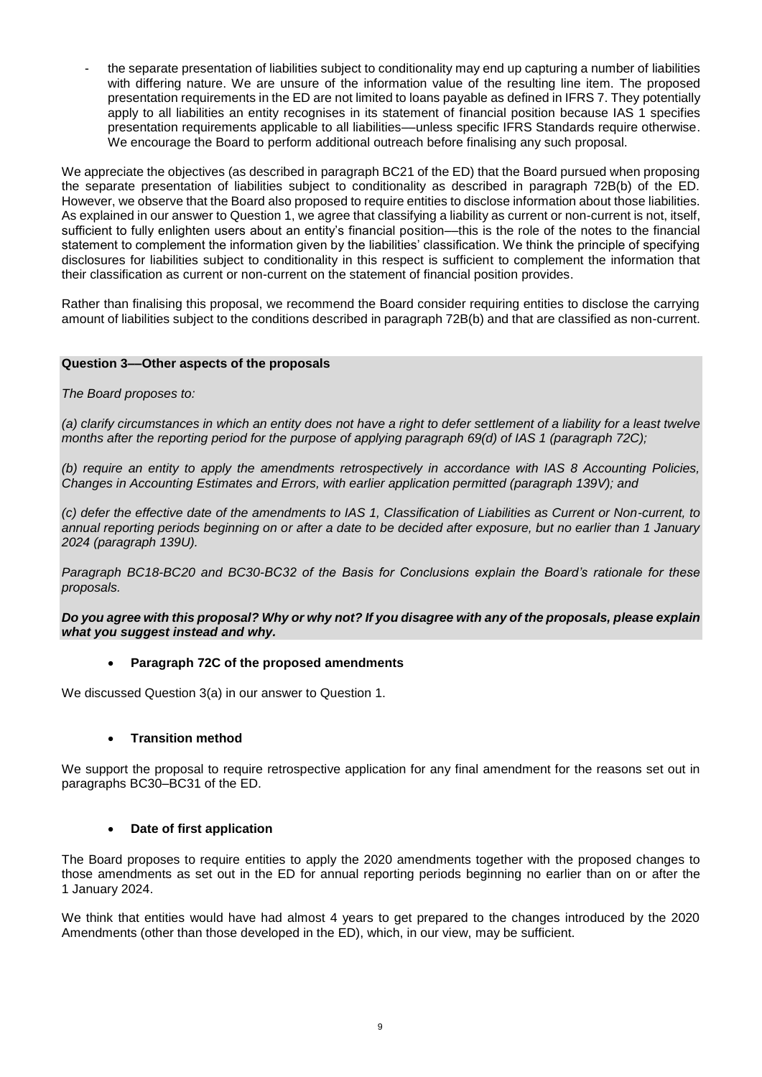the separate presentation of liabilities subject to conditionality may end up capturing a number of liabilities with differing nature. We are unsure of the information value of the resulting line item. The proposed presentation requirements in the ED are not limited to loans payable as defined in IFRS 7. They potentially apply to all liabilities an entity recognises in its statement of financial position because IAS 1 specifies presentation requirements applicable to all liabilities––unless specific IFRS Standards require otherwise. We encourage the Board to perform additional outreach before finalising any such proposal.

We appreciate the objectives (as described in paragraph BC21 of the ED) that the Board pursued when proposing the separate presentation of liabilities subject to conditionality as described in paragraph 72B(b) of the ED. However, we observe that the Board also proposed to require entities to disclose information about those liabilities. As explained in our answer to Question 1, we agree that classifying a liability as current or non-current is not, itself, sufficient to fully enlighten users about an entity's financial position––this is the role of the notes to the financial statement to complement the information given by the liabilities' classification. We think the principle of specifying disclosures for liabilities subject to conditionality in this respect is sufficient to complement the information that their classification as current or non-current on the statement of financial position provides.

Rather than finalising this proposal, we recommend the Board consider requiring entities to disclose the carrying amount of liabilities subject to the conditions described in paragraph 72B(b) and that are classified as non-current.

# **Question 3––Other aspects of the proposals**

# *The Board proposes to:*

*(a) clarify circumstances in which an entity does not have a right to defer settlement of a liability for a least twelve months after the reporting period for the purpose of applying paragraph 69(d) of IAS 1 (paragraph 72C);*

*(b) require an entity to apply the amendments retrospectively in accordance with IAS 8 Accounting Policies, Changes in Accounting Estimates and Errors, with earlier application permitted (paragraph 139V); and*

*(c) defer the effective date of the amendments to IAS 1, Classification of Liabilities as Current or Non-current, to annual reporting periods beginning on or after a date to be decided after exposure, but no earlier than 1 January 2024 (paragraph 139U).*

*Paragraph BC18-BC20 and BC30-BC32 of the Basis for Conclusions explain the Board's rationale for these proposals.*

*Do you agree with this proposal? Why or why not? If you disagree with any of the proposals, please explain what you suggest instead and why.*

#### **Paragraph 72C of the proposed amendments**

We discussed Question 3(a) in our answer to Question 1.

# **Transition method**

We support the proposal to require retrospective application for any final amendment for the reasons set out in paragraphs BC30–BC31 of the ED.

# **Date of first application**

The Board proposes to require entities to apply the 2020 amendments together with the proposed changes to those amendments as set out in the ED for annual reporting periods beginning no earlier than on or after the 1 January 2024.

We think that entities would have had almost 4 years to get prepared to the changes introduced by the 2020 Amendments (other than those developed in the ED), which, in our view, may be sufficient.